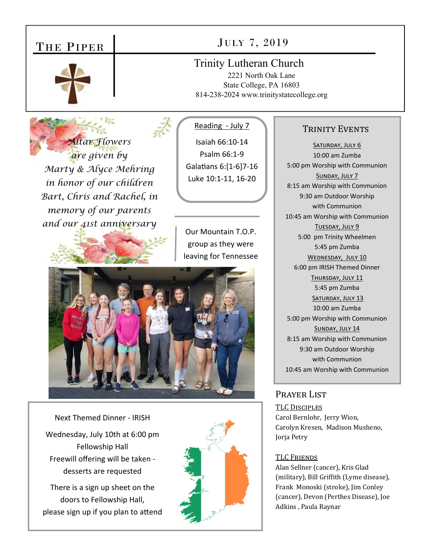# THE PIPER



# JULY 7, 2019

# Trinity Lutheran Church

2221 North Oak Lane State College, PA 16803 814-238-2024 www.trinitystatecollege.org

*Altar Flowers are given by Marty & Alyce Mehring in honor of our children Bart, Chris and Rachel, in memory of our parents and our 41st anniversary*<br> **Our Mountain T.O.P.** 

## Reading - July 7

Isaiah 66:10‐14 Psalm 66:1‐9 Galatians 6:[1-6]7-16 Luke 10:1‐11, 16‐20

group as they were leaving for Tennessee



Next Themed Dinner ‐ IRISH Wednesday, July 10th at 6:00 pm Fellowship Hall Freewill offering will be taken ‐ desserts are requested

There is a sign up sheet on the doors to Fellowship Hall, please sign up if you plan to attend



## TRINITY EVENTS

SATURDAY, JULY 6 10:00 am Zumba 5:00 pm Worship with Communion SUNDAY, JULY 7 8:15 am Worship with Communion 9:30 am Outdoor Worship with Communion 10:45 am Worship with Communion TUESDAY, JULY 9 5:00 pm Trinity Wheelmen 5:45 pm Zumba WEDNESDAY, JULY 10 6:00 pm IRISH Themed Dinner THURSDAY, JULY 11 5:45 pm Zumba SATURDAY, JULY 13 10:00 am Zumba 5:00 pm Worship with Communion SUNDAY, JULY 14 8:15 am Worship with Communion 9:30 am Outdoor Worship with Communion 10:45 am Worship with Communion

### PRAYER LIST

TLC DISCIPLES Carol Bernlohr, Jerry Wion, Carolyn Kresen, Madison Musheno, Jorja Petry

#### TLC FRIENDS

Alan Sellner (cancer), Kris Glad (military), Bill Griffith (Lyme disease), Frank Monoski (stroke), Jim Conley (cancer), Devon (Perthes Disease), Joe Adkins , Paula Raynar